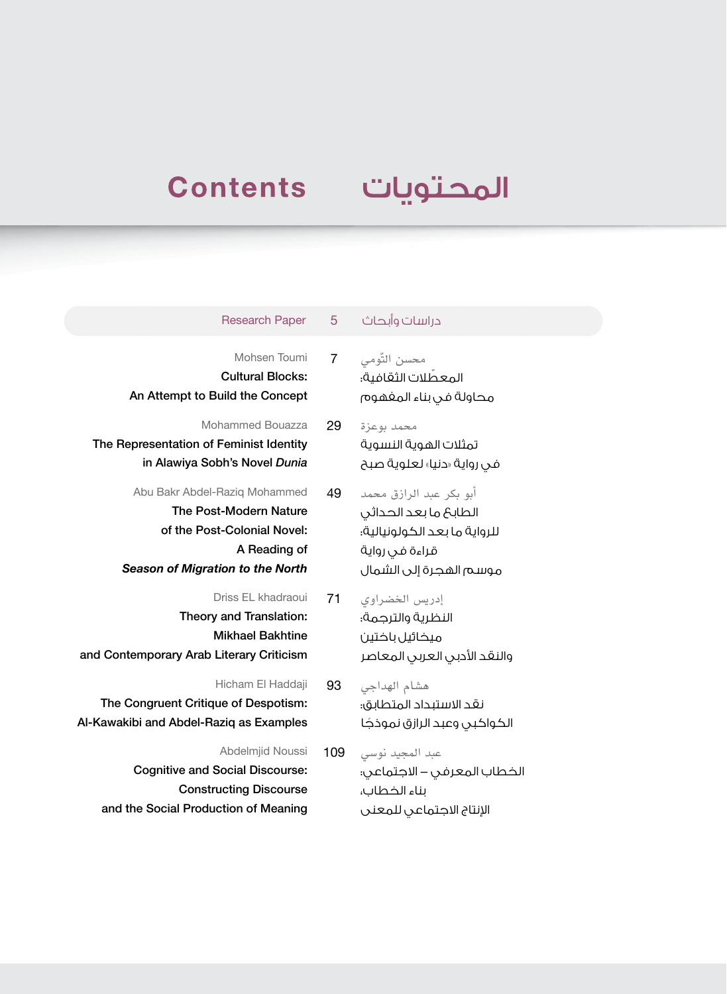## **Contents**

## المحتويات

اإلنتاج االجتماعي للمعنى

| <b>Research Paper</b>                                                                                                                      | b              | دراسات وابحاث                                                                                                                |
|--------------------------------------------------------------------------------------------------------------------------------------------|----------------|------------------------------------------------------------------------------------------------------------------------------|
| Mohsen Toumi<br><b>Cultural Blocks:</b><br>An Attempt to Build the Concept                                                                 | $\overline{7}$ | محسن التّومي<br>المعطّلات الثقافية؛<br>محاولة فى بناء المغهوم                                                                |
| <b>Mohammed Bouazza</b><br>The Representation of Feminist Identity<br>in Alawiya Sobh's Novel Dunia                                        | 29             | محمد بوعزة<br>تمثلات الهوية النسوية<br>فى رواية «دنيا» لعلوية صبح                                                            |
| Abu Bakr Abdel-Raziq Mohammed<br>The Post-Modern Nature<br>of the Post-Colonial Novel:<br>A Reading of<br>Season of Migration to the North | 49             | آبو بكر عبد الرازق محمد<br>الطابح ما بعد الحداثى<br>للرواية ما بعد الكولونيالية؛<br>قراءة فى رواية<br>موسم الهجرة إلى الشمال |
| Driss EL khadraoui<br>Theory and Translation:<br><b>Mikhael Bakhtine</b><br>and Contemporary Arab Literary Criticism                       | 71             | إدريس الخضراوى<br>النظرية والترجمة؛<br>ميخائيل باختين<br>والنقد الأدبى العربى المعاصر                                        |
| Hicham El Haddaji<br>The Congruent Critique of Despotism:<br>Al-Kawakibi and Abdel-Raziq as Examples                                       | 93             | هشام الهداجى<br>نقد الاستبداد المتطابق؛<br>الكواكبى وعبد الرازق نموذجًا                                                      |
| Abdelmjid Noussi<br><b>Cognitive and Social Discourse:</b><br><b>Constructing Discourse</b>                                                | 109            | عبد المجيد نوسي<br>الخطاب المعرفى – الاجتماعى:<br>بناء الخطاب،                                                               |

and the Social Production of Meaning